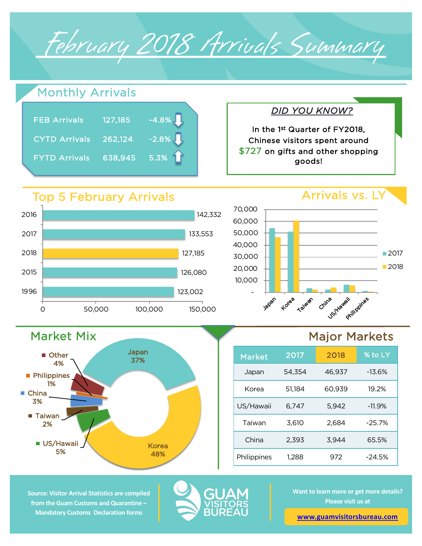February 2018 Arrivals Summary

## Arrivals vs. LY *DID YOU KNOW?* 126,080 127,185 133,553 142,332 2015 2018 2017 2016 Top 5 February Arrivals Monthly Arrivals 10,000 20,000 30,000 40,000 50,000 60,000 70,000 FEB Arrivals 127,185 -4.8% CYTD Arrivals 262,124 -2.8% FYTD Arrivals 638,945 5.3% In the 1st Quarter of FY2018, Chinese visitors spent around \$727 on gifts and other shopping goods!

123,002

-

Japan

Korea

**Taiwan** 

China

Us/Wawaii

Market Mix Japan 37% Korea 48% **US/Hawaii** 5% ■ Taiwan 2% ■ China 3% **Philippines** 1% ■ Other 4%

0 50,000 100,000 150,000

## Major Markets

Philippines

■2017 ■2018

| <b>Market</b> | 2017   | 2018   | % to LY  |
|---------------|--------|--------|----------|
| Japan         | 54,354 | 46,937 | $-13.6%$ |
| Korea         | 51,184 | 60,939 | 19.2%    |
| US/Hawaii     | 6,747  | 5,942  | $-11.9%$ |
| Taiwan        | 3,610  | 2,684  | $-25.7%$ |
| China         | 2.393  | 3.944  | 65.5%    |
| Philippines   | 1,288  | 972    | $-24.5%$ |

**Source: Visitor Arrival Statistics are compiled from the Guam Customs and Quarantine – Mandatory Customs Declaration forms** 

1996



**Want to learn more or get more details? Please visit us at** 

**[www.guamvisitorsbureau.co](https://www.guamvisitorsbureau.com/research-and-reports/research)m**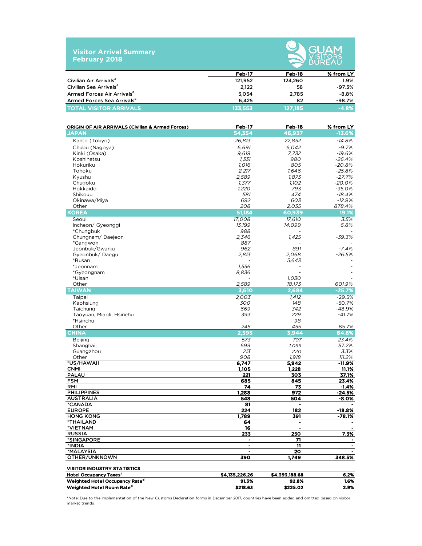| <b>Visitor Arrival Summary</b> |  |
|--------------------------------|--|
| <b>February 2018</b>           |  |



|                                        |         | __________ |           |  |  |
|----------------------------------------|---------|------------|-----------|--|--|
|                                        | Feb-17  | Feb-18     | % from LY |  |  |
| Civilian Air Arrivals <sup>a</sup>     | 121,952 | 124,260    | $1.9\%$   |  |  |
| Civilian Sea Arrivals <sup>a</sup>     | 2.122   | 58         | -97.3%    |  |  |
| Armed Forces Air Arrivals <sup>a</sup> | 3.054   | 2.785      | $-8.8%$   |  |  |
| Armed Forces Sea Arrivals <sup>a</sup> | 6.425   | 82         | -98.7%    |  |  |
| <b>TOTAL VISITOR ARRIVALS</b>          | 133.553 | 127.185    | $-4.8%$   |  |  |

| <b>ORIGIN OF AIR ARRIVALS (Civilian &amp; Armed Forces)</b> | Feb-17         | Feb-18         | % from LY      |
|-------------------------------------------------------------|----------------|----------------|----------------|
| <b>JAPAN</b>                                                | 54,354         | 46,937         | $-13.6%$       |
| Kanto (Tokyo)                                               | 26,813         | 22,852         | $-14.8%$       |
| Chubu (Nagoya)                                              | 6,691          | 6,042          | $-9.7%$        |
| Kinki (Osaka)                                               | 9,619          | 7,732          | $-19.6%$       |
| Koshinetsu                                                  | 1,331          | 980            | $-26.4%$       |
| Hokuriku                                                    | 1,016          | 805            | $-20.8%$       |
| Tohoku                                                      | 2,217          | 1,646          | $-25.8%$       |
| Kyushu                                                      | 2,589          | 1,873          | $-27.7%$       |
| Chugoku                                                     | 1,377          | 1,102          | $-20.0%$       |
| Hokkaido                                                    | 1,220          | 793            | $-35.0%$       |
| Shikoku                                                     | 581            | 474            | $-18.4%$       |
| Okinawa/Miya                                                | 692            | 603            | $-12.9%$       |
| Other                                                       | 208            | 2,035          | 878.4%         |
| <b>KOREA</b>                                                | 51,184         | 60,939         | 19.1%          |
| Seoul                                                       | 17,008         | 17,610         | 3.5%           |
| Incheon/ Gyeonggi                                           | 13,199         | 14.099         | 6.8%           |
| *Chungbuk                                                   | 988            |                |                |
| Chungnam/Daejeon                                            | 2,346          | 1,425          | $-39.3%$       |
| *Gangwon                                                    | 887            |                |                |
| Jeonbuk/Gwanju                                              | 962            | 891            | $-7.4%$        |
| Gyeonbuk/Daegu                                              | 2,813          | 2,068          | $-26.5%$       |
| *Busan                                                      |                | 5,643          |                |
| *Jeonnam                                                    | 1.556          |                |                |
| *Gyeongnam                                                  | 8,836          |                |                |
| *Ulsan                                                      |                | 1,030          |                |
| Other                                                       | 2,589          | 18,173         | 601.9%         |
| <b>TAIWAN</b>                                               | 3,610          | 2,684          | $-25.7%$       |
| Taipei                                                      | 2,003          | 1,412          | $-29.5%$       |
| Kaohsiung                                                   | 300            | 148            | $-50.7%$       |
| Taichung                                                    | 669            | 342            | -48.9%         |
| Taoyuan, Miaoli, Hsinehu                                    | 393            | 229            | $-41.7%$       |
| *Hsinchu                                                    | 245            | 98<br>455      | 85.7%          |
| Other<br><b>CHINA</b>                                       | 2,393          | 3,944          | 64.8%          |
|                                                             |                |                |                |
| <b>Beijing</b><br>Shanghai                                  | 573<br>699     | 707            | 23.4%<br>57.2% |
| Guangzhou                                                   | 213            | 1,099<br>220   | 3.3%           |
| Other                                                       | 908            | 1,918          | 111.2%         |
| *US/HAWAII                                                  | 6,747          | 5,942          | $-11.9%$       |
| <b>CNMI</b>                                                 | 1,105          | 1,228          | 11.1%          |
| <b>PALAU</b>                                                | 221            | 303            | 37.1%          |
| <b>FSM</b>                                                  | 685            | 845            | 23.4%          |
| <b>RMI</b>                                                  | 74             | 73             | $-1.4%$        |
| <b>PHILIPPINES</b>                                          | 1,288          | 972            | -24.5%         |
| <b>AUSTRALIA</b>                                            | 548            | 504            | $-8.0%$        |
| *CANADA                                                     | 81             |                |                |
| <b>EUROPE</b>                                               | 224            | 182            | -18.8%         |
| <b>HONG KONG</b>                                            | 1,789          | 391            | -78.1%         |
| <b>*THAILAND</b>                                            | 64             | $\blacksquare$ |                |
| *VIETNAM                                                    | 16             | $\blacksquare$ | $\blacksquare$ |
| RUSSIA                                                      | 255            | 250            | 7.3%           |
| *SINGAPORE                                                  | ٠              | 71<br>11       |                |
| *INDIA<br>*MALAYSIA                                         |                | 20             |                |
| OTHER/UNKNOWN                                               | 390            | 1,749          | 348.5%         |
|                                                             |                |                |                |
| <b>VISITOR INDUSTRY STATISTICS</b>                          |                |                |                |
| <b>Hotel Occupancy Taxes<sup>c</sup></b>                    | \$4,135,226.26 | \$4,393,188.68 | 6.2%           |
| Weighted Hotel Occupancy Rate <sup>d</sup>                  | 91.3%          | 92.8%          | 1.6%           |
| Weighted Hotel Room Rate <sup>d</sup>                       | \$218.63       | \$225.02       | 2.9%           |

\*Note: Due to the implementation of the New Customs Declaration forms in December 2017, countries have been added and omitted based on visitor market trends.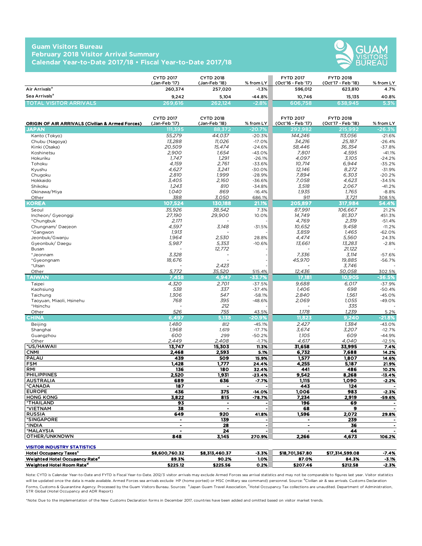## **Guam Visitors Bureau February 2018 Visitor Arrival Summary Calendar Year-to-Date 2017/18 • Fiscal Year-to-Date 2017/18**



|                               | <b>CYTD 2017</b><br>(Jan-Feb '17) | <b>CYTD 2018</b><br>(Jan-Feb '18) | $%$ from LY | <b>FYTD 2017</b><br>(Oct'16 - Feb '17) | <b>FYTD 2018</b><br>(Oct'17 - Feb '18) | % from LY |
|-------------------------------|-----------------------------------|-----------------------------------|-------------|----------------------------------------|----------------------------------------|-----------|
| Air Arrivals <sup>a</sup>     | 260.374                           | 257.020                           | $-1.3%$     | 596.012                                | 623.810                                | 4.7%      |
| Sea Arrivals <sup>a</sup>     | 9.242                             | 5.104                             | $-44.8%$    | 10.746                                 | 15.135                                 | 40.8%     |
| <b>TOTAL VISITOR ARRIVALS</b> | 269,616                           | 262.124                           | $-2.8%$     | 606.758                                | 638,945                                | 5.3%      |

| ORIGIN OF AIR ARRIVALS (Civilian & Armed Forces) | <b>CYTD 2017</b><br>(Jan-Feb '17) | <b>CYTD 2018</b><br>(Jan-Feb '18)                                            | % from LY            | <b>FYTD 2017</b><br>(Oct'16 - Feb '17) | <b>FYTD 2018</b><br>(Oct'17 - Feb '18) | % from LY         |
|--------------------------------------------------|-----------------------------------|------------------------------------------------------------------------------|----------------------|----------------------------------------|----------------------------------------|-------------------|
| <b>JAPAN</b>                                     | 111,395                           | 88,372                                                                       | $-20.7%$             | 292,982                                | 215,992                                | $-26.3%$          |
| Kanto (Tokyo)                                    | 55,279                            | 44,037                                                                       | $-20.3%$             | 144,246                                | 113,056                                | $-21.6%$          |
| Chubu (Nagoya)                                   | 13,288                            | 11,026                                                                       | $-17.0%$             | 34,216                                 | 25,187                                 | $-26.4%$          |
| Kinki (Osaka)                                    | 20,509                            | 15,474                                                                       | $-24.6%$             | 58,446                                 | 36,354                                 | $-37.8%$          |
| Koshinetsu                                       | 2.900                             | 1.654                                                                        | $-43.0%$             | 7.801                                  | 4.595                                  | $-41.1%$          |
| Hokuriku                                         | 1.747                             | 1,291                                                                        | $-26.1%$             | 4.097                                  | 3,105                                  | $-24.2%$          |
| Tohoku                                           | 4.159                             | 2.761                                                                        | $-33.6%$             | 10.714                                 | 6,944                                  | $-35.2%$          |
| Kyushu                                           | 4.627                             | 3.241                                                                        | $-30.0%$             | 12.146                                 | 8,272                                  | $-31.9%$          |
| Chugoku                                          | 2.810                             | 1.999                                                                        | $-28.9%$             | 7,894                                  | 6.303                                  | $-20.2%$          |
| Hokkaido                                         | 3,405                             | 2,160                                                                        | $-36.6%$             | 7,058                                  | 4,623                                  | $-34.5%$          |
| Shikoku                                          | 1,243                             | 810                                                                          | $-34.8%$             | 3,518                                  | 2,067                                  | $-41.2%$          |
| Okinawa/Miya                                     | 1,040                             | 869                                                                          | $-16.4%$             | 1,935                                  | 1,765                                  | $-8.8%$           |
| Other                                            | 388                               | 3,050                                                                        | 686.1%               | 911                                    | 3,721                                  | 308.5%            |
| KOREA                                            | 107,524                           | 130.188                                                                      | 21.1%                | 205,897                                | 317,984                                | 54.4%             |
| Seoul                                            | 35,926                            | 38,542                                                                       | 7.3%                 | 87,991                                 | 106,667                                | 21.2%             |
| Incheon/ Gyeonggi                                | 27,190                            | 29,900                                                                       | 10.0%                | 14,749                                 | 81,307                                 | 451.3%            |
| *Chungbuk                                        | 2,171                             |                                                                              |                      | 4,769                                  | 2,319                                  | $-51.4%$          |
| Chungnam/Daejeon                                 | 4,597                             | 3,148                                                                        | $-31.5%$             | 10,652                                 | 9,458                                  | $-11.2%$          |
| *Gangwon                                         | 1,913                             |                                                                              |                      | 3,859                                  | 1.465                                  | $-62.0%$          |
| Jeonbuk/Gwanju                                   | 1,964                             | 2,530                                                                        | 28.8%                | 4,474                                  | 5,560                                  | 24.3%             |
| Gyeonbuk/Daegu                                   | 5,987                             | 5,353                                                                        | $-10.6%$             | 13,661                                 | 13,283                                 | $-2.8%$           |
| Busan                                            |                                   | 12,772                                                                       |                      |                                        | 21,122                                 |                   |
| *Jeonnam                                         | 3,328                             |                                                                              |                      | 7,336                                  | 3,114                                  | $-57.6%$          |
| *Gyeongnam                                       | 18,676                            |                                                                              |                      | 45,970                                 | 19,885                                 | $-56.7%$          |
| *Ulsan                                           |                                   | 2.423                                                                        |                      |                                        | 3.746                                  |                   |
| Other                                            | 5.772                             | 35,520                                                                       | 515.4%               | 12.436                                 | 50.058                                 | 302.5%            |
| <b>TAIWAN</b>                                    | 7.458                             | 4.947                                                                        | -33.7%               | 17.181                                 | 10,905                                 | $-36.5%$          |
| Taipei                                           | 4.320                             | 2.701                                                                        | $-37.5%$             | 9.688                                  | 6.017                                  | $-37.9%$          |
| Kaohsiung                                        | 538                               | 337                                                                          | $-37.4%$             | 1.406                                  | 698                                    | $-50.4%$          |
| Taichung                                         | 1.306                             | 547                                                                          | $-58.1%$             | 2.840                                  | 1.561                                  | $-45.0%$          |
| Taoyuan, Miaoli, Hsinehu                         | 768                               | 395                                                                          | $-48.6%$             | 2,069                                  | 1,055                                  | $-49.0%$          |
| *Hsinchu                                         |                                   | 212                                                                          |                      |                                        | 335                                    |                   |
| Other                                            | 526                               | 755                                                                          | 43.5%                | 1,178                                  | 1.239                                  | 5.2%              |
| <b>CHINA</b>                                     | 6.497                             | 5.138                                                                        | $-20.9%$             | 11.823                                 | 9.240                                  | -21.8%            |
| <b>Beijing</b>                                   | 1,480                             | 812                                                                          | $-45.1%$             | 2,427                                  | 1.384                                  | $-43.0%$          |
| Shanghai                                         | 1,968                             | 1,619                                                                        | $-17.7%$             | 3,674                                  | 3,207                                  | $-12.7%$          |
| Guangzhou                                        | 600                               | 299                                                                          | $-50.2%$             | 1,105                                  | 609                                    | $-44.9%$          |
| Other                                            | 2,449                             | 2,408                                                                        | $-1.7%$              | 4,617                                  | 4,040                                  | $-12.5%$          |
| *US/HAWAII                                       | 13,747                            | 15,303                                                                       | 11.3%                | 31,658                                 | 33,995                                 | 7.4%              |
| <b>CNMI</b>                                      | 2,468                             | 2,593                                                                        | 5.1%                 | 6,732                                  | 7,688                                  | 14.2%             |
| <b>PALAU</b>                                     | 439                               | 509                                                                          | 15.9%                | 1,577                                  | 1,807                                  | 14.6%             |
| <b>FSM</b>                                       | 1,428                             | 1.777                                                                        | 24.4%                | 4,255                                  | 5,187                                  | 21.9%             |
| RMI<br><b>PHILIPPINES</b>                        | 136<br>2,520                      | 180<br>1,931                                                                 | 32.4%<br>$-23.4%$    | 441<br>9,542                           | 486<br>8,268                           | 10.2%<br>$-13.4%$ |
| <b>AUSTRALIA</b>                                 | 689                               | 636                                                                          | $-7.7%$              | 1,115                                  | 1,090                                  | $-2.2%$           |
| *CANADA                                          | 187                               | $\blacksquare$                                                               | $\overline{a}$       | 443                                    | 124                                    |                   |
| <b>EUROPE</b>                                    | 436                               | 375                                                                          | $-14.0%$             | 1,006                                  | 983                                    | $-2.3%$           |
| <b>HONG KONG</b>                                 | 3,822                             | 815                                                                          | $-78.7%$             | 7,234                                  | 2,919                                  | -59.6%            |
| <b>*THAILAND</b>                                 | 93                                | $\blacksquare$                                                               | $\ddot{\phantom{0}}$ | 196                                    | 69                                     |                   |
| *VIETNAM                                         | 38                                | $\ddot{\phantom{1}}$                                                         | $\ddot{\phantom{0}}$ | 68                                     | 9                                      |                   |
| <b>RUSSIA</b>                                    | 649                               | 920                                                                          | 41.8%                | 1,596                                  | 2.072                                  | 29.8%             |
| <i><b>*SINGAPORE</b></i>                         | $\blacksquare$                    | 139                                                                          |                      | $\blacksquare$                         | 239                                    |                   |
| *INDIA                                           | $\blacksquare$                    | 28                                                                           | $\ddot{\phantom{0}}$ | $\bullet$                              | 36                                     |                   |
| *MALAYSIA                                        | $\blacksquare$                    | $\overline{24}$                                                              | $\blacksquare$       | $\blacksquare$                         | 44                                     |                   |
| OTHER/UNKNOWN                                    | 848                               | 3,145                                                                        | 270.9%               | 2,266                                  | 4,673                                  | 106.2%            |
|                                                  |                                   |                                                                              |                      |                                        |                                        |                   |
| <b>VISITOR INDUSTRY STATISTICS</b>               | $- - - - - - -$                   | $\bullet$ $\bullet$ $\bullet$ $\bullet$<br>$\overline{1}$ and $\overline{1}$ | $- - -$              | $\frac{1}{2}$                          | *** *** *** **                         |                   |

Hotel Occupancy Taxes<sup>c</sup> \$8,600,760.32 \$8,313,460.37 -3.3% \$18,701,367.80 \$17,314,599.08 -7.4% Neighted Hotel Occupancy Rate<sup>d</sup> 89.3% 80.2% 1.0% 87.0% 84.3% -3.1% 84.3% -3.1% 89.3% 84.3% -3.1% 87.0% 87.0% 84.3%<br>Weighted Hotel Room Rate<sup>d</sup> 2.3% 225.12 8225.56 0.2% 8207.46 \$212.58 -2.3% **Weighted Hotel Room Rate<sup>d</sup> \$225.12** \$225.12 \$225.56 0.2% \$207.46 \$212.58

Note: CYTD is Calendar Year-to-Date and FYTD is Fiscal Year-to-Date. 2012/3 visitor arrivals may exclude Armed Forces sea arrival statistics and may not be comparable to figures last year. Visitor statistics will be updated once the data is made available. Armed Forces sea arrivals exclude HP (home ported) or MSC (military sea command) personnel. Source: <sup>a</sup>Civilian air & sea arrivals. Customs Declaration Forms, Customs & Quarantine Agency. Processed by the Guam Visitors Bureau. Sources: bJapan Guam Travel Association, <sup>c</sup>Hotel Occupancy Tax collections are unaudited. Department of Administration, STR Global (Hotel Occupancy and ADR Report)

\*Note: Due to the implementation of the New Customs Declaration forms in December 2017, countries have been added and omitted based on visitor market trends.